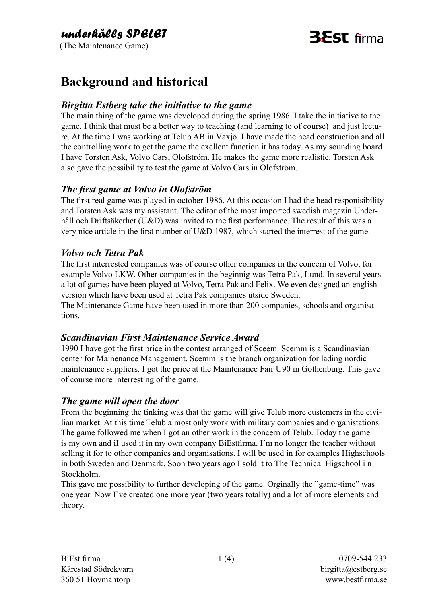# **B** ST firma

## **Background and historical**

#### *Birgitta Estberg take the initiative to the game*

The main thing of the game was developed during the spring 1986. I take the initiative to the game. I think that must be a better way to teaching (and learning to of course) and just lecture. At the time I was working at Telub AB in Växjö. I have made the head construction and all the controlling work to get the game the exellent function it has today. As my sounding board I have Torsten Ask, Volvo Cars, Olofström. He makes the game more realistic. Torsten Ask also gave the possibility to test the game at Volvo Cars in Olofström.

#### *The first game at Volvo in Olofström*

The first real game was played in october 1986. At this occasion I had the head responisibility and Torsten Ask was my assistant. The editor of the most imported swedish magazin Underhåll och Driftsäkerhet (U&D) was invited to the first performance. The result of this was a very nice article in the first number of U&D 1987, which started the interrest of the game.

#### *Volvo och Tetra Pak*

The first interrested companies was of course other companies in the concern of Volvo, for example Volvo LKW. Other companies in the beginnig was Tetra Pak, Lund. In several years a lot of games have been played at Volvo, Tetra Pak and Felix. We even designed an english version which have been used at Tetra Pak companies utside Sweden.

The Maintenance Game have been used in more than 200 companies, schools and organisations.

#### *Scandinavian First Maintenance Service Award*

1990 I have got the first price in the contest arranged of Sceem. Scemm is a Scandinavian center for Mainenance Management. Scemm is the branch organization for lading nordic maintenance suppliers. I got the price at the Maintenance Fair U90 in Gothenburg. This gave of course more interresting of the game.

#### *The game will open the door*

From the beginning the tinking was that the game will give Telub more custemers in the civilian market. At this time Telub almost only work with military companies and organistations. The game followed me when I got an other work in the concern of Telub. Today the game is my own and iI used it in my own company BiEstfirma. I´m no longer the teacher without selling it for to other companies and organisations. I will be used in for examples Highschools in both Sweden and Denmark. Soon two years ago I sold it to The Technical Higschool i n Stockholm.

This gave me possibility to further developing of the game. Orginally the "game-time" was one year. Now I`ve created one more year (two years totally) and a lot of more elements and theory.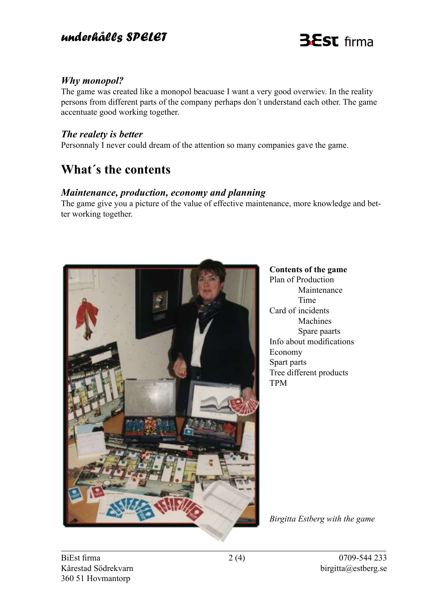### *underhålls SPELET*

# **BEST** firma

#### *Why monopol?*

The game was created like a monopol beacuase I want a very good overwiev. In the reality persons from different parts of the company perhaps don´t understand each other. The game accentuate good working together.

#### *The realety is better*

Personnaly I never could dream of the attention so many companies gave the game.

## **What´s the contents**

#### *Maintenance, production, economy and planning*

The game give you a picture of the value of effective maintenance, more knowledge and better working together.



**Contents of the game** Plan of Production Maintenance Time Card of incidents Machines Spare paarts Info about modifications Economy Spart parts Tree different products TPM

*Birgitta Estberg with the game*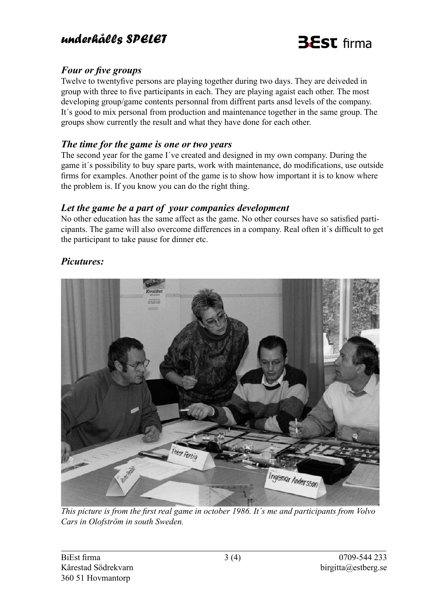### *underhålls SPELET*



#### *Four or five groups*

Twelve to twentyfive persons are playing together during two days. They are deiveded in group with three to five participants in each. They are playing agaist each other. The most developing group/game contents personnal from diffrent parts ansd levels of the company. It´s good to mix personal from production and maintenance together in the same group. The groups show currently the result and what they have done for each other.

#### *The time for the game is one or two years*

The second year for the game I´ve created and designed in my own company. During the game it´s possibility to buy spare parts, work with maintenance, do modifications, use outside firms for examples. Another point of the game is to show how important it is to know where the problem is. If you know you can do the right thing.

#### *Let the game be a part of your companies development*

No other education has the same affect as the game. No other courses have so satisfied participants. The game will also overcome differences in a company. Real often it´s difficult to get the participant to take pause for dinner etc.

#### *Picutures:*



*This picture is from the first real game in october 1986. It´s me and participants from Volvo Cars in Olofström in south Sweden.*